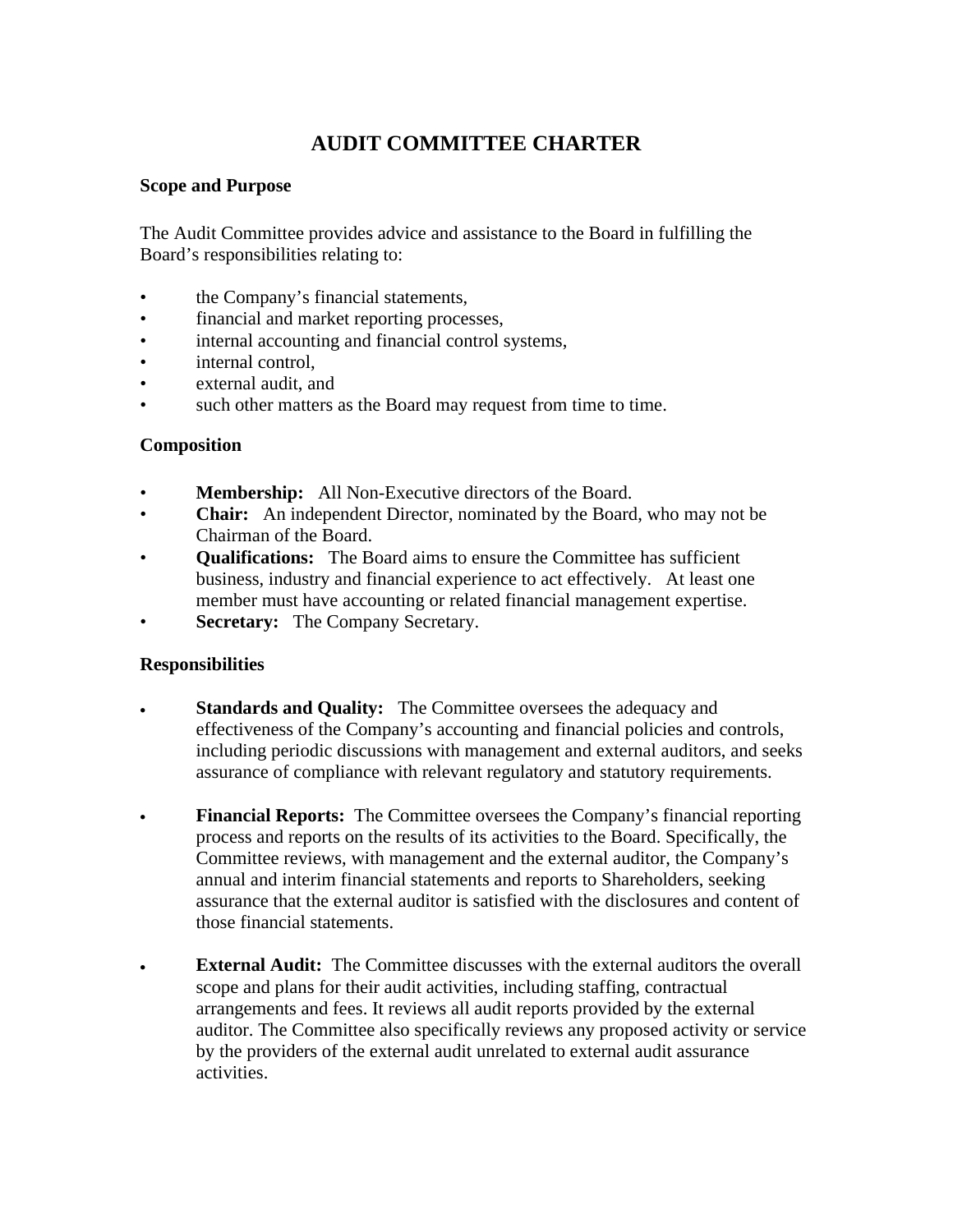# **AUDIT COMMITTEE CHARTER**

## **Scope and Purpose**

The Audit Committee provides advice and assistance to the Board in fulfilling the Board's responsibilities relating to:

- the Company's financial statements,
- financial and market reporting processes,
- internal accounting and financial control systems,
- internal control.
- external audit, and
- such other matters as the Board may request from time to time.

## **Composition**

- **Membership:** All Non-Executive directors of the Board.
- **Chair:** An independent Director, nominated by the Board, who may not be Chairman of the Board.
- **Qualifications:** The Board aims to ensure the Committee has sufficient business, industry and financial experience to act effectively. At least one member must have accounting or related financial management expertise.
- **Secretary:** The Company Secretary.

### **Responsibilities**

- **Standards and Quality:** The Committee oversees the adequacy and effectiveness of the Company's accounting and financial policies and controls, including periodic discussions with management and external auditors, and seeks assurance of compliance with relevant regulatory and statutory requirements.
- **Financial Reports:** The Committee oversees the Company's financial reporting process and reports on the results of its activities to the Board. Specifically, the Committee reviews, with management and the external auditor, the Company's annual and interim financial statements and reports to Shareholders, seeking assurance that the external auditor is satisfied with the disclosures and content of those financial statements.
- **External Audit:** The Committee discusses with the external auditors the overall scope and plans for their audit activities, including staffing, contractual arrangements and fees. It reviews all audit reports provided by the external auditor. The Committee also specifically reviews any proposed activity or service by the providers of the external audit unrelated to external audit assurance activities.